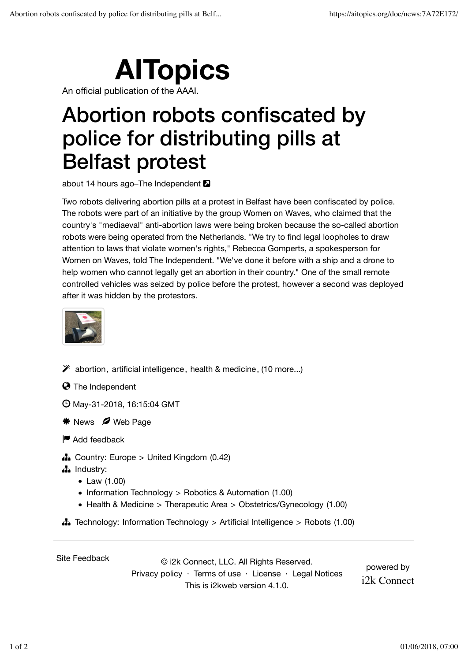## **AITopics**

An official publication of the AAAI.

## Abortion robots confiscated by police for distributing pills at Belfast protest

about 14 hours ago–The Independent  $\blacksquare$ 

Two robots delivering abortion pills at a protest in Belfast have been confiscated by police. The robots were part of an initiative by the group Women on Waves, who claimed that the country's "mediaeval" anti-abortion laws were being broken because the so-called abortion robots were being operated from the Netherlands. "We try to find legal loopholes to draw attention to laws that violate women's rights," Rebecca Gomperts, a spokesperson for Women on Waves, told The Independent. "We've done it before with a ship and a drone to help women who cannot legally get an abortion in their country." One of the small remote controlled vehicles was seized by police before the protest, however a second was deployed after it was hidden by the protestors.



 $\mathscr V$  abortion, artificial intelligence, health & medicine, (10 more...)

 $\Theta$  The Independent

May-31-2018, 16:15:04 GMT

- \* News Ø Web Page
- **■** Add feedback
- $\frac{1}{4}$  Country: Europe > United Kingdom (0.42)
- # Industry:
	- Law (1.00)
	- Information Technology > Robotics & Automation (1.00)
	- Health & Medicine > Therapeutic Area > Obstetrics/Gynecology (1.00)
- $\frac{1}{4}$  Technology: Information Technology > Artificial Intelligence > Robots (1.00)

Site Feedback © i2k Connect, LLC. All Rights Reserved. Privacy policy · Terms of use · License · Legal Notices This is i2kweb version 4.1.0.

powered by i2k Connect